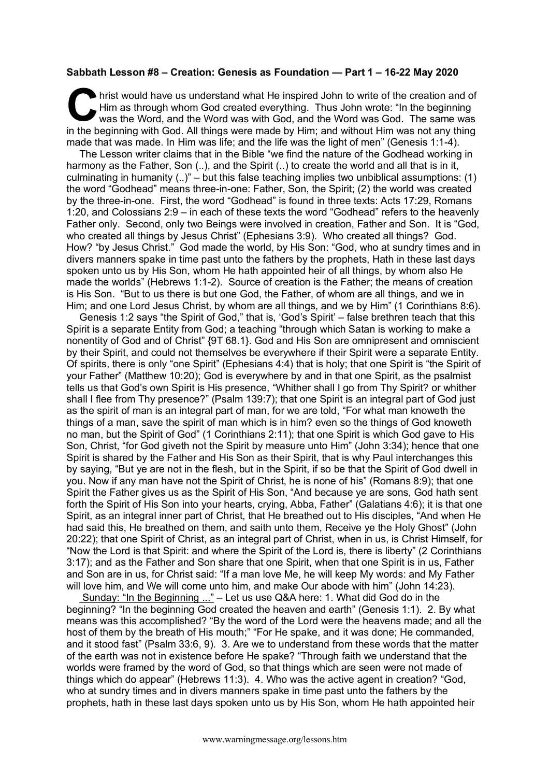## **Sabbath Lesson #8 – Creation: Genesis as Foundation — Part 1 – 16-22 May 2020**

hrist would have us understand what He inspired John to write of the creation and of Him as through whom God created everything. Thus John wrote: "In the beginning was the Word, and the Word was with God, and the Word was God. The same was in the beginning with God. All things were made by Him; and without Him was not any thing made that was made. In Him was life; and the life was the light of men" (Genesis 1:1-4). **C** hris

The Lesson writer claims that in the Bible "we find the nature of the Godhead working in harmony as the Father, Son (..), and the Spirit (..) to create the world and all that is in it, culminating in humanity (..)" – but this false teaching implies two unbiblical assumptions: (1) the word "Godhead" means three-in-one: Father, Son, the Spirit; (2) the world was created by the three-in-one. First, the word "Godhead" is found in three texts: Acts 17:29, Romans 1:20, and Colossians 2:9 – in each of these texts the word "Godhead" refers to the heavenly Father only. Second, only two Beings were involved in creation, Father and Son. It is "God, who created all things by Jesus Christ" (Ephesians 3:9). Who created all things? God. How? "by Jesus Christ." God made the world, by His Son: "God, who at sundry times and in divers manners spake in time past unto the fathers by the prophets, Hath in these last days spoken unto us by His Son, whom He hath appointed heir of all things, by whom also He made the worlds" (Hebrews 1:1-2). Source of creation is the Father; the means of creation is His Son. "But to us there is but one God, the Father, of whom are all things, and we in Him; and one Lord Jesus Christ, by whom are all things, and we by Him" (1 Corinthians 8:6).

Genesis 1:2 says "the Spirit of God," that is, 'God's Spirit' – false brethren teach that this Spirit is a separate Entity from God; a teaching "through which Satan is working to make a nonentity of God and of Christ" {9T 68.1}. God and His Son are omnipresent and omniscient by their Spirit, and could not themselves be everywhere if their Spirit were a separate Entity. Of spirits, there is only "one Spirit" (Ephesians 4:4) that is holy; that one Spirit is "the Spirit of your Father" (Matthew 10:20); God is everywhere by and in that one Spirit, as the psalmist tells us that God's own Spirit is His presence, "Whither shall I go from Thy Spirit? or whither shall I flee from Thy presence?" (Psalm 139:7); that one Spirit is an integral part of God just as the spirit of man is an integral part of man, for we are told, "For what man knoweth the things of a man, save the spirit of man which is in him? even so the things of God knoweth no man, but the Spirit of God" (1 Corinthians 2:11); that one Spirit is which God gave to His Son, Christ, "for God giveth not the Spirit by measure unto Him" (John 3:34); hence that one Spirit is shared by the Father and His Son as their Spirit, that is why Paul interchanges this by saying, "But ye are not in the flesh, but in the Spirit, if so be that the Spirit of God dwell in you. Now if any man have not the Spirit of Christ, he is none of his" (Romans 8:9); that one Spirit the Father gives us as the Spirit of His Son, "And because ye are sons, God hath sent forth the Spirit of His Son into your hearts, crying, Abba, Father" (Galatians 4:6); it is that one Spirit, as an integral inner part of Christ, that He breathed out to His disciples, "And when He had said this, He breathed on them, and saith unto them, Receive ye the Holy Ghost" (John 20:22); that one Spirit of Christ, as an integral part of Christ, when in us, is Christ Himself, for "Now the Lord is that Spirit: and where the Spirit of the Lord is, there is liberty" (2 Corinthians 3:17); and as the Father and Son share that one Spirit, when that one Spirit is in us, Father and Son are in us, for Christ said: "If a man love Me, he will keep My words: and My Father will love him, and We will come unto him, and make Our abode with him" (John 14:23).

Sunday: "In the Beginning ..." – Let us use Q&A here: 1. What did God do in the beginning? "In the beginning God created the heaven and earth" (Genesis 1:1). 2. By what means was this accomplished? "By the word of the Lord were the heavens made; and all the host of them by the breath of His mouth;" "For He spake, and it was done; He commanded, and it stood fast" (Psalm 33:6, 9). 3. Are we to understand from these words that the matter of the earth was not in existence before He spake? "Through faith we understand that the worlds were framed by the word of God, so that things which are seen were not made of things which do appear" (Hebrews 11:3). 4. Who was the active agent in creation? "God, who at sundry times and in divers manners spake in time past unto the fathers by the prophets, hath in these last days spoken unto us by His Son, whom He hath appointed heir